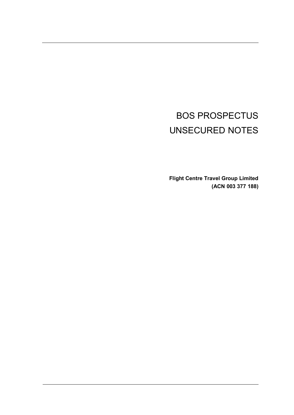# BOS PROSPECTUS UNSECURED NOTES

**Flight Centre Travel Group Limited (ACN 003 377 188)**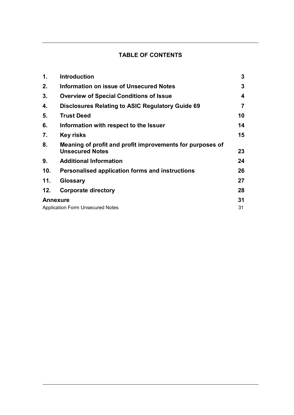## **TABLE OF CONTENTS**

| 1.  | <b>Introduction</b>                                                                 | 3        |
|-----|-------------------------------------------------------------------------------------|----------|
| 2.  | <b>Information on issue of Unsecured Notes</b>                                      | 3        |
| 3.  | <b>Overview of Special Conditions of Issue</b>                                      | 4        |
| 4.  | <b>Disclosures Relating to ASIC Regulatory Guide 69</b>                             | 7        |
| 5.  | <b>Trust Deed</b>                                                                   | 10       |
| 6.  | Information with respect to the Issuer                                              | 14       |
| 7.  | <b>Key risks</b>                                                                    | 15       |
| 8.  | Meaning of profit and profit improvements for purposes of<br><b>Unsecured Notes</b> | 23       |
| 9.  | <b>Additional Information</b>                                                       | 24       |
| 10. | Personalised application forms and instructions                                     | 26       |
| 11. | <b>Glossary</b>                                                                     | 27       |
| 12. | <b>Corporate directory</b>                                                          | 28       |
|     | <b>Annexure</b><br><b>Application Form Unsecured Notes</b>                          | 31<br>31 |
|     |                                                                                     |          |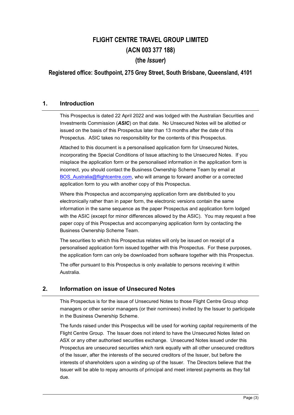## FLIGHT CENTRE TRAVEL GROUP LIMITED (ACN 003 377 188) (the Issuer)

## Registered office: Southpoint, 275 Grey Street, South Brisbane, Queensland, 4101

## **1. Introduction**

This Prospectus is dated 22 April 2022 and was lodged with the Australian Securities and Investments Commission (*ASIC*) on that date. No Unsecured Notes will be allotted or issued on the basis of this Prospectus later than 13 months after the date of this Prospectus. ASIC takes no responsibility for the contents of this Prospectus.

Attached to this document is a personalised application form for Unsecured Notes, incorporating the Special Conditions of Issue attaching to the Unsecured Notes. If you misplace the application form or the personalised information in the application form is incorrect, you should contact the Business Ownership Scheme Team by email at BOS\_Australia@flightcentre.com, who will arrange to forward another or a corrected application form to you with another copy of this Prospectus.

Where this Prospectus and accompanying application form are distributed to you electronically rather than in paper form, the electronic versions contain the same information in the same sequence as the paper Prospectus and application form lodged with the ASIC (except for minor differences allowed by the ASIC). You may request a free paper copy of this Prospectus and accompanying application form by contacting the Business Ownership Scheme Team.

The securities to which this Prospectus relates will only be issued on receipt of a personalised application form issued together with this Prospectus. For these purposes, the application form can only be downloaded from software together with this Prospectus.

The offer pursuant to this Prospectus is only available to persons receiving it within Australia.

## **2. Information on issue of Unsecured Notes**

This Prospectus is for the issue of Unsecured Notes to those Flight Centre Group shop managers or other senior managers (or their nominees) invited by the Issuer to participate in the Business Ownership Scheme.

The funds raised under this Prospectus will be used for working capital requirements of the Flight Centre Group. The Issuer does not intend to have the Unsecured Notes listed on ASX or any other authorised securities exchange. Unsecured Notes issued under this Prospectus are unsecured securities which rank equally with all other unsecured creditors of the Issuer, after the interests of the secured creditors of the Issuer, but before the interests of shareholders upon a winding up of the Issuer. The Directors believe that the Issuer will be able to repay amounts of principal and meet interest payments as they fall due.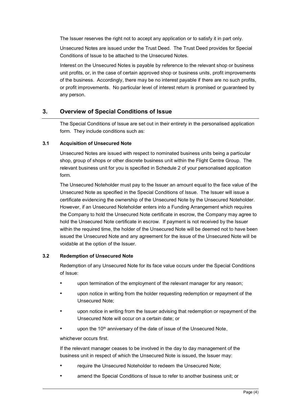The Issuer reserves the right not to accept any application or to satisfy it in part only.

Unsecured Notes are issued under the Trust Deed. The Trust Deed provides for Special Conditions of Issue to be attached to the Unsecured Notes.

Interest on the Unsecured Notes is payable by reference to the relevant shop or business unit profits, or, in the case of certain approved shop or business units, profit improvements of the business. Accordingly, there may be no interest payable if there are no such profits, or profit improvements. No particular level of interest return is promised or guaranteed by any person.

## **3. Overview of Special Conditions of Issue**

The Special Conditions of Issue are set out in their entirety in the personalised application form. They include conditions such as:

#### **3.1 Acquisition of Unsecured Note**

Unsecured Notes are issued with respect to nominated business units being a particular shop, group of shops or other discrete business unit within the Flight Centre Group. The relevant business unit for you is specified in Schedule 2 of your personalised application form.

The Unsecured Noteholder must pay to the Issuer an amount equal to the face value of the Unsecured Note as specified in the Special Conditions of Issue. The Issuer will issue a certificate evidencing the ownership of the Unsecured Note by the Unsecured Noteholder. However, if an Unsecured Noteholder enters into a Funding Arrangement which requires the Company to hold the Unsecured Note certificate in escrow, the Company may agree to hold the Unsecured Note certificate in escrow. If payment is not received by the Issuer within the required time, the holder of the Unsecured Note will be deemed not to have been issued the Unsecured Note and any agreement for the issue of the Unsecured Note will be voidable at the option of the Issuer.

#### **3.2 Redemption of Unsecured Note**

Redemption of any Unsecured Note for its face value occurs under the Special Conditions of Issue:

- upon termination of the employment of the relevant manager for any reason;
- upon notice in writing from the holder requesting redemption or repayment of the Unsecured Note;
- upon notice in writing from the Issuer advising that redemption or repayment of the Unsecured Note will occur on a certain date; or
- upon the 10<sup>th</sup> anniversary of the date of issue of the Unsecured Note,

whichever occurs first.

If the relevant manager ceases to be involved in the day to day management of the business unit in respect of which the Unsecured Note is issued, the Issuer may:

- require the Unsecured Noteholder to redeem the Unsecured Note;
- amend the Special Conditions of Issue to refer to another business unit; or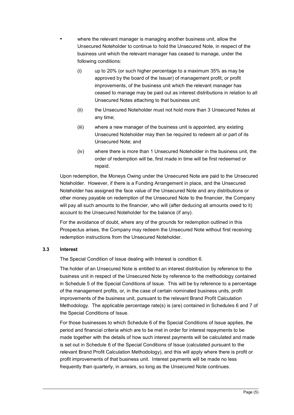- where the relevant manager is managing another business unit, allow the Unsecured Noteholder to continue to hold the Unsecured Note, in respect of the business unit which the relevant manager has ceased to manage, under the following conditions:
	- (i) up to 20% (or such higher percentage to a maximum 35% as may be approved by the board of the Issuer) of management profit, or profit improvements, of the business unit which the relevant manager has ceased to manage may be paid out as interest distributions in relation to all Unsecured Notes attaching to that business unit;
	- (ii) the Unsecured Noteholder must not hold more than 3 Unsecured Notes at any time;
	- (iii) where a new manager of the business unit is appointed, any existing Unsecured Noteholder may then be required to redeem all or part of its Unsecured Note; and
	- (iv) where there is more than 1 Unsecured Noteholder in the business unit, the order of redemption will be, first made in time will be first redeemed or repaid.

Upon redemption, the Moneys Owing under the Unsecured Note are paid to the Unsecured Noteholder. However, if there is a Funding Arrangement in place, and the Unsecured Noteholder has assigned the face value of the Unsecured Note and any distributions or other money payable on redemption of the Unsecured Note to the financier, the Company will pay all such amounts to the financier, who will (after deducing all amounts owed to it) account to the Unsecured Noteholder for the balance (if any).

For the avoidance of doubt, where any of the grounds for redemption outlined in this Prospectus arises, the Company may redeem the Unsecured Note without first receiving redemption instructions from the Unsecured Noteholder.

#### **3.3 Interest**

The Special Condition of Issue dealing with Interest is condition 6.

The holder of an Unsecured Note is entitled to an interest distribution by reference to the business unit in respect of the Unsecured Note by reference to the methodology contained in Schedule 5 of the Special Conditions of Issue. This will be by reference to a percentage of the management profits, or, in the case of certain nominated business units, profit improvements of the business unit, pursuant to the relevant Brand Profit Calculation Methodology. The applicable percentage rate(s) is (are) contained in Schedules 6 and 7 of the Special Conditions of Issue.

For those businesses to which Schedule 6 of the Special Conditions of Issue applies, the period and financial criteria which are to be met in order for interest repayments to be made together with the details of how such interest payments will be calculated and made is set out in Schedule 6 of the Special Conditions of Issue (calculated pursuant to the relevant Brand Profit Calculation Methodology), and this will apply where there is profit or profit improvements of that business unit. Interest payments will be made no less frequently than quarterly, in arrears, so long as the Unsecured Note continues.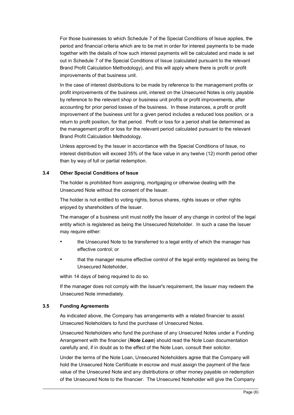For those businesses to which Schedule 7 of the Special Conditions of Issue applies, the period and financial criteria which are to be met in order for interest payments to be made together with the details of how such interest payments will be calculated and made is set out in Schedule 7 of the Special Conditions of Issue (calculated pursuant to the relevant Brand Profit Calculation Methodology), and this will apply where there is profit or profit improvements of that business unit.

In the case of interest distributions to be made by reference to the management profits or profit improvements of the business unit, interest on the Unsecured Notes is only payable by reference to the relevant shop or business unit profits or profit improvements, after accounting for prior period losses of the business. In these instances, a profit or profit improvement of the business unit for a given period includes a reduced loss position, or a return to profit position, for that period. Profit or loss for a period shall be determined as the management profit or loss for the relevant period calculated pursuant to the relevant Brand Profit Calculation Methodology.

Unless approved by the Issuer in accordance with the Special Conditions of Issue, no interest distribution will exceed 35% of the face value in any twelve (12) month period other than by way of full or partial redemption.

#### **3.4 Other Special Conditions of Issue**

The holder is prohibited from assigning, mortgaging or otherwise dealing with the Unsecured Note without the consent of the Issuer.

The holder is not entitled to voting rights, bonus shares, rights issues or other rights enjoyed by shareholders of the Issuer.

The manager of a business unit must notify the Issuer of any change in control of the legal entity which is registered as being the Unsecured Noteholder. In such a case the Issuer may require either:

- the Unsecured Note to be transferred to a legal entity of which the manager has effective control; or
- that the manager resume effective control of the legal entity registered as being the Unsecured Noteholder,

within 14 days of being required to do so.

If the manager does not comply with the Issuer's requirement, the Issuer may redeem the Unsecured Note immediately.

#### **3.5 Funding Agreements**

As indicated above, the Company has arrangements with a related financier to assist Unsecured Noteholders to fund the purchase of Unsecured Notes.

Unsecured Noteholders who fund the purchase of any Unsecured Notes under a Funding Arrangement with the financier (*Note Loan*) should read the Note Loan documentation carefully and, if in doubt as to the effect of the Note Loan, consult their solicitor.

Under the terms of the Note Loan, Unsecured Noteholders agree that the Company will hold the Unsecured Note Certificate in escrow and must assign the payment of the face value of the Unsecured Note and any distributions or other money payable on redemption of the Unsecured Note to the financier. The Unsecured Noteholder will give the Company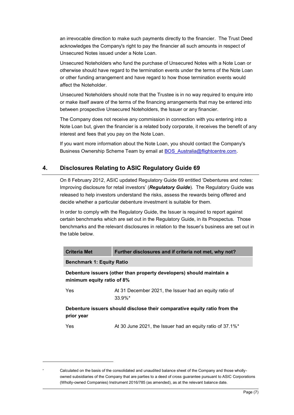an irrevocable direction to make such payments directly to the financier. The Trust Deed acknowledges the Company's right to pay the financier all such amounts in respect of Unsecured Notes issued under a Note Loan.

Unsecured Noteholders who fund the purchase of Unsecured Notes with a Note Loan or otherwise should have regard to the termination events under the terms of the Note Loan or other funding arrangement and have regard to how those termination events would affect the Noteholder.

Unsecured Noteholders should note that the Trustee is in no way required to enquire into or make itself aware of the terms of the financing arrangements that may be entered into between prospective Unsecured Noteholders, the Issuer or any financier.

The Company does not receive any commission in connection with you entering into a Note Loan but, given the financier is a related body corporate, it receives the benefit of any interest and fees that you pay on the Note Loan.

If you want more information about the Note Loan, you should contact the Company's Business Ownership Scheme Team by email at BOS\_Australia@flightcentre.com.

## **4. Disclosures Relating to ASIC Regulatory Guide 69**

On 8 February 2012, ASIC updated Regulatory Guide 69 entitled 'Debentures and notes: Improving disclosure for retail investors' (*Regulatory Guide*). The Regulatory Guide was released to help investors understand the risks, assess the rewards being offered and decide whether a particular debenture investment is suitable for them.

In order to comply with the Regulatory Guide, the Issuer is required to report against certain benchmarks which are set out in the Regulatory Guide, in its Prospectus. Those benchmarks and the relevant disclosures in relation to the Issuer's business are set out in the table below.

| <b>Criteria Met</b>                                                                                | Further disclosures and if criteria not met, why not?                |  |  |  |  |
|----------------------------------------------------------------------------------------------------|----------------------------------------------------------------------|--|--|--|--|
| <b>Benchmark 1: Equity Ratio</b>                                                                   |                                                                      |  |  |  |  |
| Debenture issuers (other than property developers) should maintain a<br>minimum equity ratio of 8% |                                                                      |  |  |  |  |
| Yes                                                                                                | At 31 December 2021, the Issuer had an equity ratio of<br>$33.9\%$ * |  |  |  |  |
| Debenture issuers should disclose their comparative equity ratio from the<br>prior year            |                                                                      |  |  |  |  |
| Yes                                                                                                | At 30 June 2021, the Issuer had an equity ratio of 37.1%*            |  |  |  |  |

-

Calculated on the basis of the consolidated and unaudited balance sheet of the Company and those whollyowned subsidiaries of the Company that are parties to a deed of cross guarantee pursuant to ASIC Corporations (Wholly-owned Companies) Instrument 2016/785 (as amended), as at the relevant balance date.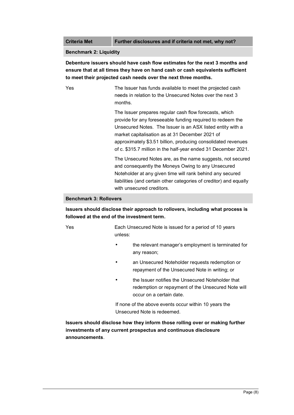**Criteria Met Further disclosures and if criteria not met, why not?**

#### **Benchmark 2: Liquidity**

**Debenture issuers should have cash flow estimates for the next 3 months and ensure that at all times they have on hand cash or cash equivalents sufficient to meet their projected cash needs over the next three months.**

Yes The Issuer has funds available to meet the projected cash needs in relation to the Unsecured Notes over the next 3 months.

> The Issuer prepares regular cash flow forecasts, which provide for any foreseeable funding required to redeem the Unsecured Notes. The Issuer is an ASX listed entity with a market capitalisation as at 31 December 2021 of approximately \$3.51 billion, producing consolidated revenues of c. \$315.7 million in the half-year ended 31 December 2021.

> The Unsecured Notes are, as the name suggests, not secured and consequently the Moneys Owing to any Unsecured Noteholder at any given time will rank behind any secured liabilities (and certain other categories of creditor) and equally with unsecured creditors.

#### **Benchmark 3: Rollovers**

**Issuers should disclose their approach to rollovers, including what process is followed at the end of the investment term.**

Yes Each Unsecured Note is issued for a period of 10 years unless:

- the relevant manager's employment is terminated for any reason;
- an Unsecured Noteholder requests redemption or repayment of the Unsecured Note in writing; or
- the Issuer notifies the Unsecured Noteholder that redemption or repayment of the Unsecured Note will occur on a certain date.

If none of the above events occur within 10 years the Unsecured Note is redeemed.

**Issuers should disclose how they inform those rolling over or making further investments of any current prospectus and continuous disclosure announcements**.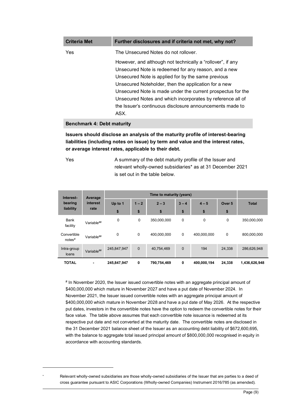| <b>Criteria Met</b> | Further disclosures and if criteria not met, why not?       |
|---------------------|-------------------------------------------------------------|
| Yes                 | The Unsecured Notes do not rollover.                        |
|                     | However, and although not technically a "rollover", if any  |
|                     | Unsecured Note is redeemed for any reason, and a new        |
|                     | Unsecured Note is applied for by the same previous          |
|                     | Unsecured Noteholder, then the application for a new        |
|                     | Unsecured Note is made under the current prospectus for the |
|                     | Unsecured Notes and which incorporates by reference all of  |
|                     | the Issuer's continuous disclosure announcements made to    |
|                     | ASX.                                                        |

#### **Benchmark 4: Debt maturity**

**Issuers should disclose an analysis of the maturity profile of interest-bearing liabilities (including notes on issue) by term and value and the interest rates, or average interest rates, applicable to their debt.**

-

Yes A summary of the debt maturity profile of the Issuer and relevant wholly-owned subsidiaries\* as at 31 December 2021 is set out in the table below.

| Interest-                         | Average<br>interest<br>rate  | Time to maturity (years) |              |             |             |             |                   |               |
|-----------------------------------|------------------------------|--------------------------|--------------|-------------|-------------|-------------|-------------------|---------------|
| bearing                           |                              | Up to 1                  | $1 - 2$      | $2 - 3$     | $3 - 4$     | $4 - 5$     | Over <sub>5</sub> | <b>Total</b>  |
| liability                         |                              | \$                       | \$           | \$          | \$          | \$          | \$                |               |
| <b>Bank</b><br>facility           | Variable##                   | 0                        | 0            | 350,000,000 | 0           | 0           | 0                 | 350,000,000   |
| Convertible<br>notes <sup>#</sup> | Variable##                   | 0                        | $\mathbf 0$  | 400,000,000 | $\mathbf 0$ | 400,000,000 | $\mathbf 0$       | 800,000,000   |
| Intra-group<br>loans              | Variable##                   | 245,847,947              | $\mathbf{0}$ | 40,754,469  | $\mathbf 0$ | 194         | 24,338            | 286,626,948   |
| <b>TOTAL</b>                      | $\qquad \qquad \blacksquare$ | 245,847,947              | 0            | 790,754,469 | 0           | 400,000,194 | 24,338            | 1,436,626,948 |

# In November 2020, the Issuer issued convertible notes with an aggregate principal amount of \$400,000,000 which mature in November 2027 and have a put date of November 2024. In November 2021, the Issuer issued convertible notes with an aggregate principal amount of \$400,000,000 which mature in November 2028 and have a put date of May 2026. At the respective put dates, investors in the convertible notes have the option to redeem the convertible notes for their face value. The table above assumes that each convertible note issuance is redeemed at its respective put date and not converted at the maturity date. The convertible notes are disclosed in the 31 December 2021 balance sheet of the Issuer as an accounting debt liability of \$672,600,695, with the balance to aggregate total issued principal amount of \$800,000,000 recognised in equity in accordance with accounting standards.

Relevant wholly-owned subsidiaries are those wholly-owned subsidiaries of the Issuer that are parties to a deed of cross guarantee pursuant to ASIC Corporations (Wholly-owned Companies) Instrument 2016/785 (as amended).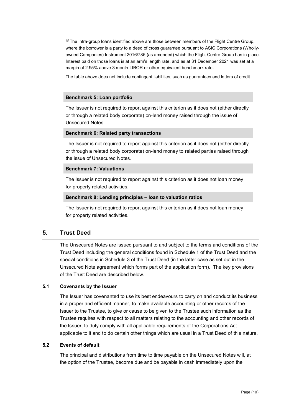## The intra-group loans identified above are those between members of the Flight Centre Group, where the borrower is a party to a deed of cross guarantee pursuant to ASIC Corporations (Whollyowned Companies) Instrument 2016/785 (as amended) which the Flight Centre Group has in place. Interest paid on those loans is at an arm's length rate, and as at 31 December 2021 was set at a margin of 2.95% above 3 month LIBOR or other equivalent benchmark rate.

The table above does not include contingent liabilities, such as guarantees and letters of credit.

#### **Benchmark 5: Loan portfolio**

The Issuer is not required to report against this criterion as it does not (either directly or through a related body corporate) on-lend money raised through the issue of Unsecured Notes.

#### **Benchmark 6: Related party transactions**

The Issuer is not required to report against this criterion as it does not (either directly or through a related body corporate) on-lend money to related parties raised through the issue of Unsecured Notes.

#### **Benchmark 7: Valuations**

The Issuer is not required to report against this criterion as it does not loan money for property related activities.

#### **Benchmark 8: Lending principles** – **loan to valuation ratios**

The Issuer is not required to report against this criterion as it does not loan money for property related activities.

## **5. Trust Deed**

The Unsecured Notes are issued pursuant to and subject to the terms and conditions of the Trust Deed including the general conditions found in Schedule 1 of the Trust Deed and the special conditions in Schedule 3 of the Trust Deed (in the latter case as set out in the Unsecured Note agreement which forms part of the application form). The key provisions of the Trust Deed are described below.

#### **5.1 Covenants by the Issuer**

The Issuer has covenanted to use its best endeavours to carry on and conduct its business in a proper and efficient manner, to make available accounting or other records of the Issuer to the Trustee, to give or cause to be given to the Trustee such information as the Trustee requires with respect to all matters relating to the accounting and other records of the Issuer, to duly comply with all applicable requirements of the Corporations Act applicable to it and to do certain other things which are usual in a Trust Deed of this nature.

#### **5.2 Events of default**

The principal and distributions from time to time payable on the Unsecured Notes will, at the option of the Trustee, become due and be payable in cash immediately upon the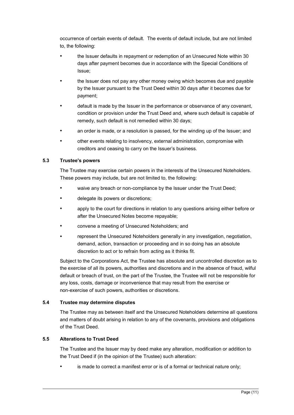occurrence of certain events of default. The events of default include, but are not limited to, the following:

- the Issuer defaults in repayment or redemption of an Unsecured Note within 30 days after payment becomes due in accordance with the Special Conditions of Issue;
- the Issuer does not pay any other money owing which becomes due and payable by the Issuer pursuant to the Trust Deed within 30 days after it becomes due for payment;
- default is made by the Issuer in the performance or observance of any covenant, condition or provision under the Trust Deed and, where such default is capable of remedy, such default is not remedied within 30 days;
- an order is made, or a resolution is passed, for the winding up of the Issuer; and
- other events relating to insolvency, external administration, compromise with creditors and ceasing to carry on the Issuer's business.

#### **5.3 Trustee's powers**

The Trustee may exercise certain powers in the interests of the Unsecured Noteholders. These powers may include, but are not limited to, the following:

- waive any breach or non-compliance by the Issuer under the Trust Deed;
- delegate its powers or discretions:
- apply to the court for directions in relation to any questions arising either before or after the Unsecured Notes become repayable;
- convene a meeting of Unsecured Noteholders; and
- represent the Unsecured Noteholders generally in any investigation, negotiation, demand, action, transaction or proceeding and in so doing has an absolute discretion to act or to refrain from acting as it thinks fit.

Subject to the Corporations Act, the Trustee has absolute and uncontrolled discretion as to the exercise of all its powers, authorities and discretions and in the absence of fraud, wilful default or breach of trust, on the part of the Trustee, the Trustee will not be responsible for any loss, costs, damage or inconvenience that may result from the exercise or non-exercise of such powers, authorities or discretions.

#### **5.4 Trustee may determine disputes**

The Trustee may as between itself and the Unsecured Noteholders determine all questions and matters of doubt arising in relation to any of the covenants, provisions and obligations of the Trust Deed.

#### **5.5 Alterations to Trust Deed**

The Trustee and the Issuer may by deed make any alteration, modification or addition to the Trust Deed if (in the opinion of the Trustee) such alteration:

is made to correct a manifest error or is of a formal or technical nature only;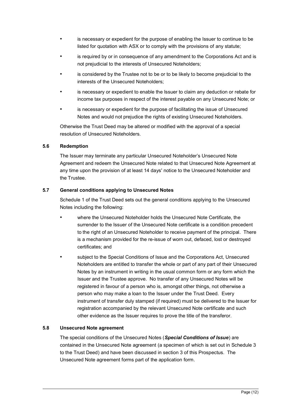- is necessary or expedient for the purpose of enabling the Issuer to continue to be listed for quotation with ASX or to comply with the provisions of any statute;
- is required by or in consequence of any amendment to the Corporations Act and is not prejudicial to the interests of Unsecured Noteholders;
- is considered by the Trustee not to be or to be likely to become prejudicial to the interests of the Unsecured Noteholders;
- is necessary or expedient to enable the Issuer to claim any deduction or rebate for income tax purposes in respect of the interest payable on any Unsecured Note; or
- is necessary or expedient for the purpose of facilitating the issue of Unsecured Notes and would not prejudice the rights of existing Unsecured Noteholders.

Otherwise the Trust Deed may be altered or modified with the approval of a special resolution of Unsecured Noteholders.

#### **5.6 Redemption**

The Issuer may terminate any particular Unsecured Noteholder's Unsecured Note Agreement and redeem the Unsecured Note related to that Unsecured Note Agreement at any time upon the provision of at least 14 days' notice to the Unsecured Noteholder and the Trustee.

#### **5.7 General conditions applying to Unsecured Notes**

Schedule 1 of the Trust Deed sets out the general conditions applying to the Unsecured Notes including the following:

- where the Unsecured Noteholder holds the Unsecured Note Certificate, the surrender to the Issuer of the Unsecured Note certificate is a condition precedent to the right of an Unsecured Noteholder to receive payment of the principal. There is a mechanism provided for the re-issue of worn out, defaced, lost or destroyed certificates; and
- subject to the Special Conditions of Issue and the Corporations Act, Unsecured Noteholders are entitled to transfer the whole or part of any part of their Unsecured Notes by an instrument in writing in the usual common form or any form which the Issuer and the Trustee approve. No transfer of any Unsecured Notes will be registered in favour of a person who is, amongst other things, not otherwise a person who may make a loan to the Issuer under the Trust Deed. Every instrument of transfer duly stamped (if required) must be delivered to the Issuer for registration accompanied by the relevant Unsecured Note certificate and such other evidence as the Issuer requires to prove the title of the transferor.

#### **5.8 Unsecured Note agreement**

The special conditions of the Unsecured Notes (*Special Conditions of Issue*) are contained in the Unsecured Note agreement (a specimen of which is set out in Schedule 3 to the Trust Deed) and have been discussed in section 3 of this Prospectus. The Unsecured Note agreement forms part of the application form.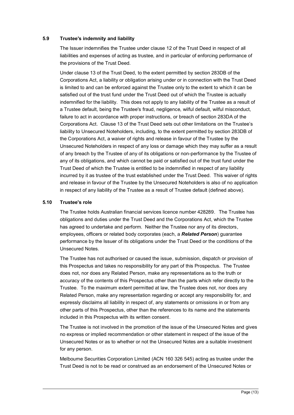#### **5.9 Trustee's indemnity and liability**

The Issuer indemnifies the Trustee under clause 12 of the Trust Deed in respect of all liabilities and expenses of acting as trustee, and in particular of enforcing performance of the provisions of the Trust Deed.

Under clause 13 of the Trust Deed, to the extent permitted by section 283DB of the Corporations Act, a liability or obligation arising under or in connection with the Trust Deed is limited to and can be enforced against the Trustee only to the extent to which it can be satisfied out of the trust fund under the Trust Deed out of which the Trustee is actually indemnified for the liability. This does not apply to any liability of the Trustee as a result of a Trustee default, being the Trustee's fraud, negligence, wilful default, wilful misconduct, failure to act in accordance with proper instructions, or breach of section 283DA of the Corporations Act. Clause 13 of the Trust Deed sets out other limitations on the Trustee's liability to Unsecured Noteholders, including, to the extent permitted by section 283DB of the Corporations Act, a waiver of rights and release in favour of the Trustee by the Unsecured Noteholders in respect of any loss or damage which they may suffer as a result of any breach by the Trustee of any of its obligations or non-performance by the Trustee of any of its obligations, and which cannot be paid or satisfied out of the trust fund under the Trust Deed of which the Trustee is entitled to be indemnified in respect of any liability incurred by it as trustee of the trust established under the Trust Deed. This waiver of rights and release in favour of the Trustee by the Unsecured Noteholders is also of no application in respect of any liability of the Trustee as a result of Trustee default (defined above).

#### **5.10 Trustee's role**

The Trustee holds Australian financial services licence number 428289. The Trustee has obligations and duties under the Trust Deed and the Corporations Act, which the Trustee has agreed to undertake and perform. Neither the Trustee nor any of its directors, employees, officers or related body corporates (each, a *Related Person*) guarantee performance by the Issuer of its obligations under the Trust Deed or the conditions of the Unsecured Notes.

The Trustee has not authorised or caused the issue, submission, dispatch or provision of this Prospectus and takes no responsibility for any part of this Prospectus. The Trustee does not, nor does any Related Person, make any representations as to the truth or accuracy of the contents of this Prospectus other than the parts which refer directly to the Trustee. To the maximum extent permitted at law, the Trustee does not, nor does any Related Person, make any representation regarding or accept any responsibility for, and expressly disclaims all liability in respect of, any statements or omissions in or from any other parts of this Prospectus, other than the references to its name and the statements included in this Prospectus with its written consent.

The Trustee is not involved in the promotion of the issue of the Unsecured Notes and gives no express or implied recommendation or other statement in respect of the issue of the Unsecured Notes or as to whether or not the Unsecured Notes are a suitable investment for any person.

Melbourne Securities Corporation Limited (ACN 160 326 545) acting as trustee under the Trust Deed is not to be read or construed as an endorsement of the Unsecured Notes or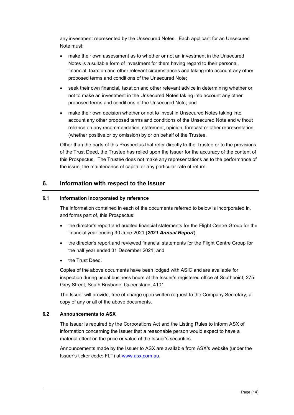any investment represented by the Unsecured Notes. Each applicant for an Unsecured Note must:

- make their own assessment as to whether or not an investment in the Unsecured Notes is a suitable form of investment for them having regard to their personal, financial, taxation and other relevant circumstances and taking into account any other proposed terms and conditions of the Unsecured Note;
- seek their own financial, taxation and other relevant advice in determining whether or not to make an investment in the Unsecured Notes taking into account any other proposed terms and conditions of the Unsecured Note; and
- make their own decision whether or not to invest in Unsecured Notes taking into account any other proposed terms and conditions of the Unsecured Note and without reliance on any recommendation, statement, opinion, forecast or other representation (whether positive or by omission) by or on behalf of the Trustee.

Other than the parts of this Prospectus that refer directly to the Trustee or to the provisions of the Trust Deed, the Trustee has relied upon the Issuer for the accuracy of the content of this Prospectus. The Trustee does not make any representations as to the performance of the issue, the maintenance of capital or any particular rate of return.

## **6. Information with respect to the Issuer**

#### **6.1 Information incorporated by reference**

The information contained in each of the documents referred to below is incorporated in, and forms part of, this Prospectus:

- · the director's report and audited financial statements for the Flight Centre Group for the financial year ending 30 June 2021 (*2021 Annual Report*);
- · the director's report and reviewed financial statements for the Flight Centre Group for the half year ended 31 December 2021; and
- the Trust Deed.

Copies of the above documents have been lodged with ASIC and are available for inspection during usual business hours at the Issuer's registered office at Southpoint, 275 Grey Street, South Brisbane, Queensland, 4101.

The Issuer will provide, free of charge upon written request to the Company Secretary, a copy of any or all of the above documents.

#### **6.2 Announcements to ASX**

The Issuer is required by the Corporations Act and the Listing Rules to inform ASX of information concerning the Issuer that a reasonable person would expect to have a material effect on the price or value of the Issuer's securities.

Announcements made by the Issuer to ASX are available from ASX's website (under the Issuer's ticker code: FLT) at www.asx.com.au.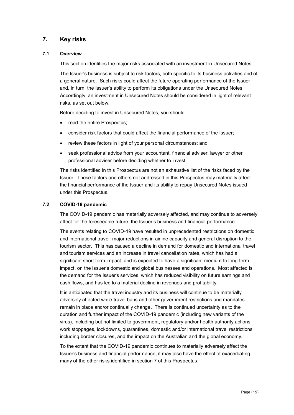## **7. Key risks**

#### **7.1 Overview**

This section identifies the major risks associated with an investment in Unsecured Notes.

The Issuer's business is subject to risk factors, both specific to its business activities and of a general nature. Such risks could affect the future operating performance of the Issuer and, in turn, the Issuer's ability to perform its obligations under the Unsecured Notes. Accordingly, an investment in Unsecured Notes should be considered in light of relevant risks, as set out below.

Before deciding to invest in Unsecured Notes, you should:

- read the entire Prospectus;
- · consider risk factors that could affect the financial performance of the Issuer;
- · review these factors in light of your personal circumstances; and
- · seek professional advice from your accountant, financial adviser, lawyer or other professional adviser before deciding whether to invest.

The risks identified in this Prospectus are not an exhaustive list of the risks faced by the Issuer. These factors and others not addressed in this Prospectus may materially affect the financial performance of the Issuer and its ability to repay Unsecured Notes issued under this Prospectus.

#### **7.2 COVID-19 pandemic**

The COVID-19 pandemic has materially adversely affected, and may continue to adversely affect for the foreseeable future, the Issuer's business and financial performance.

The events relating to COVID-19 have resulted in unprecedented restrictions on domestic and international travel, major reductions in airline capacity and general disruption to the tourism sector. This has caused a decline in demand for domestic and international travel and tourism services and an increase in travel cancellation rates, which has had a significant short term impact, and is expected to have a significant medium to long term impact, on the Issuer's domestic and global businesses and operations. Most affected is the demand for the Issuer's services, which has reduced visibility on future earnings and cash flows, and has led to a material decline in revenues and profitability.

It is anticipated that the travel industry and its business will continue to be materially adversely affected while travel bans and other government restrictions and mandates remain in place and/or continually change. There is continued uncertainty as to the duration and further impact of the COVID-19 pandemic (including new variants of the virus), including but not limited to government, regulatory and/or health authority actions, work stoppages, lockdowns, quarantines, domestic and/or international travel restrictions including border closures, and the impact on the Australian and the global economy.

To the extent that the COVID-19 pandemic continues to materially adversely affect the Issuer's business and financial performance, it may also have the effect of exacerbating many of the other risks identified in section 7 of this Prospectus.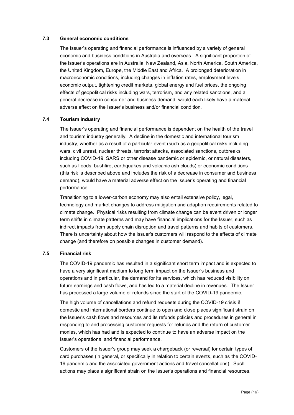#### **7.3 General economic conditions**

The Issuer's operating and financial performance is influenced by a variety of general economic and business conditions in Australia and overseas. A significant proportion of the Issuer's operations are in Australia, New Zealand, Asia, North America, South America, the United Kingdom, Europe, the Middle East and Africa. A prolonged deterioration in macroeconomic conditions, including changes in inflation rates, employment levels, economic output, tightening credit markets, global energy and fuel prices, the ongoing effects of geopolitical risks including wars, terrorism, and any related sanctions, and a general decrease in consumer and business demand, would each likely have a material adverse effect on the Issuer's business and/or financial condition.

#### **7.4 Tourism industry**

The Issuer's operating and financial performance is dependent on the health of the travel and tourism industry generally. A decline in the domestic and international tourism industry, whether as a result of a particular event (such as a geopolitical risks including wars, civil unrest, nuclear threats, terrorist attacks, associated sanctions, outbreaks including COVID-19, SARS or other disease pandemic or epidemic, or natural disasters, such as floods, bushfire, earthquakes and volcanic ash clouds) or economic conditions (this risk is described above and includes the risk of a decrease in consumer and business demand), would have a material adverse effect on the Issuer's operating and financial performance.

Transitioning to a lower-carbon economy may also entail extensive policy, legal, technology and market changes to address mitigation and adaption requirements related to climate change. Physical risks resulting from climate change can be event driven or longer term shifts in climate patterns and may have financial implications for the Issuer, such as indirect impacts from supply chain disruption and travel patterns and habits of customers. There is uncertainty about how the Issuer's customers will respond to the effects of climate change (and therefore on possible changes in customer demand).

#### **7.5 Financial risk**

The COVID-19 pandemic has resulted in a significant short term impact and is expected to have a very significant medium to long term impact on the Issuer's business and operations and in particular, the demand for its services, which has reduced visibility on future earnings and cash flows, and has led to a material decline in revenues. The Issuer has processed a large volume of refunds since the start of the COVID-19 pandemic.

The high volume of cancellations and refund requests during the COVID-19 crisis if domestic and international borders continue to open and close places significant strain on the Issuer's cash flows and resources and its refunds policies and procedures in general in responding to and processing customer requests for refunds and the return of customer monies, which has had and is expected to continue to have an adverse impact on the Issuer's operational and financial performance.

Customers of the Issuer's group may seek a chargeback (or reversal) for certain types of card purchases (in general, or specifically in relation to certain events, such as the COVID-19 pandemic and the associated government actions and travel cancellations). Such actions may place a significant strain on the Issuer's operations and financial resources.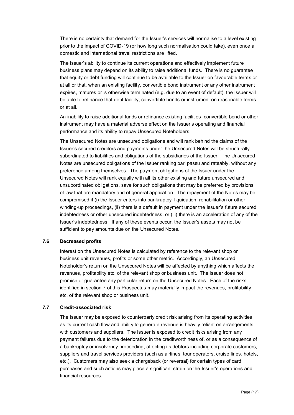There is no certainty that demand for the Issuer's services will normalise to a level existing prior to the impact of COVID-19 (or how long such normalisation could take), even once all domestic and international travel restrictions are lifted.

The Issuer's ability to continue its current operations and effectively implement future business plans may depend on its ability to raise additional funds. There is no guarantee that equity or debt funding will continue to be available to the Issuer on favourable terms or at all or that, when an existing facility, convertible bond instrument or any other instrument expires, matures or is otherwise terminated (e.g. due to an event of default), the Issuer will be able to refinance that debt facility, convertible bonds or instrument on reasonable terms or at all.

An inability to raise additional funds or refinance existing facilities, convertible bond or other instrument may have a material adverse effect on the Issuer's operating and financial performance and its ability to repay Unsecured Noteholders.

The Unsecured Notes are unsecured obligations and will rank behind the claims of the Issuer's secured creditors and payments under the Unsecured Notes will be structurally subordinated to liabilities and obligations of the subsidiaries of the Issuer. The Unsecured Notes are unsecured obligations of the Issuer ranking pari passu and rateably, without any preference among themselves. The payment obligations of the Issuer under the Unsecured Notes will rank equally with all its other existing and future unsecured and unsubordinated obligations, save for such obligations that may be preferred by provisions of law that are mandatory and of general application. The repayment of the Notes may be compromised if (i) the Issuer enters into bankruptcy, liquidation, rehabilitation or other winding-up proceedings, (ii) there is a default in payment under the Issuer's future secured indebtedness or other unsecured indebtedness, or (iii) there is an acceleration of any of the Issuer's indebtedness. If any of these events occur, the Issuer's assets may not be sufficient to pay amounts due on the Unsecured Notes.

#### **7.6 Decreased profits**

Interest on the Unsecured Notes is calculated by reference to the relevant shop or business unit revenues, profits or some other metric. Accordingly, an Unsecured Noteholder's return on the Unsecured Notes will be affected by anything which affects the revenues, profitability etc. of the relevant shop or business unit. The Issuer does not promise or guarantee any particular return on the Unsecured Notes. Each of the risks identified in section 7 of this Prospectus may materially impact the revenues, profitability etc. of the relevant shop or business unit.

#### **7.7 Credit-associated risk**

The Issuer may be exposed to counterparty credit risk arising from its operating activities as its current cash flow and ability to generate revenue is heavily reliant on arrangements with customers and suppliers. The Issuer is exposed to credit risks arising from any payment failures due to the deterioration in the creditworthiness of, or as a consequence of a bankruptcy or insolvency proceeding, affecting its debtors including corporate customers, suppliers and travel services providers (such as airlines, tour operators, cruise lines, hotels, etc.). Customers may also seek a chargeback (or reversal) for certain types of card purchases and such actions may place a significant strain on the Issuer's operations and financial resources.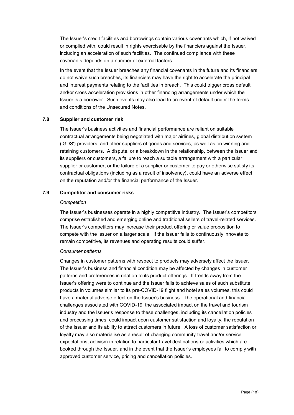The Issuer's credit facilities and borrowings contain various covenants which, if not waived or complied with, could result in rights exercisable by the financiers against the Issuer, including an acceleration of such facilities. The continued compliance with these covenants depends on a number of external factors.

In the event that the Issuer breaches any financial covenants in the future and its financiers do not waive such breaches, its financiers may have the right to accelerate the principal and interest payments relating to the facilities in breach. This could trigger cross default and/or cross acceleration provisions in other financing arrangements under which the Issuer is a borrower. Such events may also lead to an event of default under the terms and conditions of the Unsecured Notes.

#### **7.8 Supplier and customer risk**

The Issuer's business activities and financial performance are reliant on suitable contractual arrangements being negotiated with major airlines, global distribution system ('GDS') providers, and other suppliers of goods and services, as well as on winning and retaining customers. A dispute, or a breakdown in the relationship, between the Issuer and its suppliers or customers, a failure to reach a suitable arrangement with a particular supplier or customer, or the failure of a supplier or customer to pay or otherwise satisfy its contractual obligations (including as a result of insolvency), could have an adverse effect on the reputation and/or the financial performance of the Issuer.

#### **7.9 Competitor and consumer risks**

#### *Competition*

The Issuer's businesses operate in a highly competitive industry. The Issuer's competitors comprise established and emerging online and traditional sellers of travel-related services. The Issuer's competitors may increase their product offering or value proposition to compete with the Issuer on a larger scale. If the Issuer fails to continuously innovate to remain competitive, its revenues and operating results could suffer.

#### *Consumer patterns*

Changes in customer patterns with respect to products may adversely affect the Issuer. The Issuer's business and financial condition may be affected by changes in customer patterns and preferences in relation to its product offerings. If trends away from the Issuer's offering were to continue and the Issuer fails to achieve sales of such substitute products in volumes similar to its pre-COVID-19 flight and hotel sales volumes, this could have a material adverse effect on the Issuer's business. The operational and financial challenges associated with COVID-19, the associated impact on the travel and tourism industry and the Issuer's response to these challenges, including its cancellation policies and processing times, could impact upon customer satisfaction and loyalty, the reputation of the Issuer and its ability to attract customers in future. A loss of customer satisfaction or loyalty may also materialise as a result of changing community travel and/or service expectations, activism in relation to particular travel destinations or activities which are booked through the Issuer, and in the event that the Issuer's employees fail to comply with approved customer service, pricing and cancellation policies.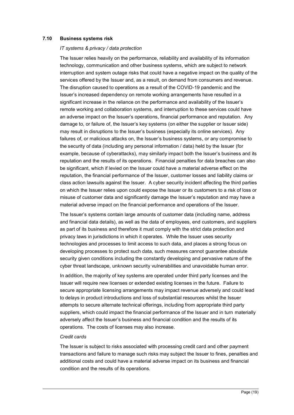#### **7.10 Business systems risk**

#### *IT systems & privacy / data protection*

The Issuer relies heavily on the performance, reliability and availability of its information technology, communication and other business systems, which are subject to network interruption and system outage risks that could have a negative impact on the quality of the services offered by the Issuer and, as a result, on demand from consumers and revenue. The disruption caused to operations as a result of the COVID-19 pandemic and the Issuer's increased dependency on remote working arrangements have resulted in a significant increase in the reliance on the performance and availability of the Issuer's remote working and collaboration systems, and interruption to these services could have an adverse impact on the Issuer's operations, financial performance and reputation. Any damage to, or failure of, the Issuer's key systems (on either the supplier or Issuer side) may result in disruptions to the Issuer's business (especially its online services). Any failures of, or malicious attacks on, the Issuer's business systems, or any compromise to the security of data (including any personal information / data) held by the Issuer (for example, because of cyberattacks), may similarly impact both the Issuer's business and its reputation and the results of its operations. Financial penalties for data breaches can also be significant, which if levied on the Issuer could have a material adverse effect on the reputation, the financial performance of the Issuer, customer losses and liability claims or class action lawsuits against the Issuer. A cyber security incident affecting the third parties on which the Issuer relies upon could expose the Issuer or its customers to a risk of loss or misuse of customer data and significantly damage the Issuer's reputation and may have a material adverse impact on the financial performance and operations of the Issuer.

The Issuer's systems contain large amounts of customer data (including name, address and financial data details), as well as the data of employees, end customers, and suppliers as part of its business and therefore it must comply with the strict data protection and privacy laws in jurisdictions in which it operates. While the Issuer uses security technologies and processes to limit access to such data, and places a strong focus on developing processes to protect such data, such measures cannot guarantee absolute security given conditions including the constantly developing and pervasive nature of the cyber threat landscape, unknown security vulnerabilities and unavoidable human error.

In addition, the majority of key systems are operated under third party licenses and the Issuer will require new licenses or extended existing licenses in the future. Failure to secure appropriate licensing arrangements may impact revenue adversely and could lead to delays in product introductions and loss of substantial resources whilst the Issuer attempts to secure alternate technical offerings, including from appropriate third party suppliers, which could impact the financial performance of the Issuer and in turn materially adversely affect the Issuer's business and financial condition and the results of its operations. The costs of licenses may also increase.

#### *Credit cards*

The Issuer is subject to risks associated with processing credit card and other payment transactions and failure to manage such risks may subject the Issuer to fines, penalties and additional costs and could have a material adverse impact on its business and financial condition and the results of its operations.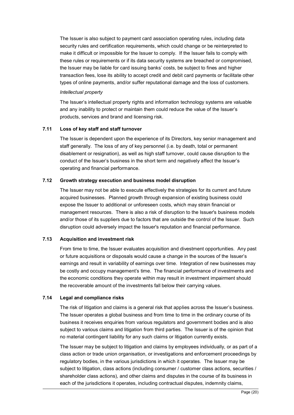The Issuer is also subject to payment card association operating rules, including data security rules and certification requirements, which could change or be reinterpreted to make it difficult or impossible for the Issuer to comply. If the Issuer fails to comply with these rules or requirements or if its data security systems are breached or compromised, the Issuer may be liable for card issuing banks' costs, be subject to fines and higher transaction fees, lose its ability to accept credit and debit card payments or facilitate other types of online payments, and/or suffer reputational damage and the loss of customers.

#### *Intellectual property*

The Issuer's intellectual property rights and information technology systems are valuable and any inability to protect or maintain them could reduce the value of the Issuer's products, services and brand and licensing risk.

#### **7.11 Loss of key staff and staff turnover**

The Issuer is dependent upon the experience of its Directors, key senior management and staff generally. The loss of any of key personnel (i.e. by death, total or permanent disablement or resignation), as well as high staff turnover, could cause disruption to the conduct of the Issuer's business in the short term and negatively affect the Issuer's operating and financial performance.

#### **7.12 Growth strategy execution and business model disruption**

The Issuer may not be able to execute effectively the strategies for its current and future acquired businesses. Planned growth through expansion of existing business could expose the Issuer to additional or unforeseen costs, which may strain financial or management resources. There is also a risk of disruption to the Issuer's business models and/or those of its suppliers due to factors that are outside the control of the Issuer. Such disruption could adversely impact the Issuer's reputation and financial performance.

#### **7.13 Acquisition and investment risk**

From time to time, the Issuer evaluates acquisition and divestment opportunities. Any past or future acquisitions or disposals would cause a change in the sources of the Issuer's earnings and result in variability of earnings over time. Integration of new businesses may be costly and occupy management's time. The financial performance of investments and the economic conditions they operate within may result in investment impairment should the recoverable amount of the investments fall below their carrying values.

#### **7.14 Legal and compliance risks**

The risk of litigation and claims is a general risk that applies across the Issuer's business. The Issuer operates a global business and from time to time in the ordinary course of its business it receives enquiries from various regulators and government bodies and is also subject to various claims and litigation from third parties. The Issuer is of the opinion that no material contingent liability for any such claims or litigation currently exists.

The Issuer may be subject to litigation and claims by employees individually, or as part of a class action or trade union organisation, or investigations and enforcement proceedings by regulatory bodies, in the various jurisdictions in which it operates. The Issuer may be subject to litigation, class actions (including consumer / customer class actions, securities / shareholder class actions), and other claims and disputes in the course of its business in each of the jurisdictions it operates, including contractual disputes, indemnity claims,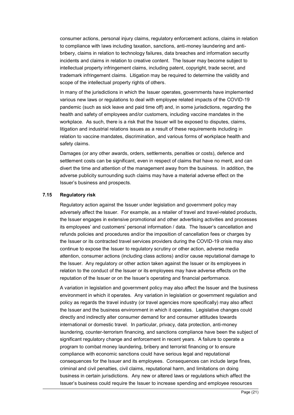consumer actions, personal injury claims, regulatory enforcement actions, claims in relation to compliance with laws including taxation, sanctions, anti-money laundering and antibribery, claims in relation to technology failures, data breaches and information security incidents and claims in relation to creative content. The Issuer may become subject to intellectual property infringement claims, including patent, copyright, trade secret, and trademark infringement claims. Litigation may be required to determine the validity and scope of the intellectual property rights of others.

In many of the jurisdictions in which the Issuer operates, governments have implemented various new laws or regulations to deal with employee related impacts of the COVID-19 pandemic (such as sick leave and paid time off) and, in some jurisdictions, regarding the health and safety of employees and/or customers, including vaccine mandates in the workplace. As such, there is a risk that the Issuer will be exposed to disputes, claims, litigation and industrial relations issues as a result of these requirements including in relation to vaccine mandates, discrimination, and various forms of workplace health and safety claims.

Damages (or any other awards, orders, settlements, penalties or costs), defence and settlement costs can be significant, even in respect of claims that have no merit, and can divert the time and attention of the management away from the business. In addition, the adverse publicity surrounding such claims may have a material adverse effect on the Issuer's business and prospects.

#### **7.15 Regulatory risk**

Regulatory action against the Issuer under legislation and government policy may adversely affect the Issuer. For example, as a retailer of travel and travel-related products, the Issuer engages in extensive promotional and other advertising activities and processes its employees' and customers' personal information / data. The Issuer's cancellation and refunds policies and procedures and/or the imposition of cancellation fees or charges by the Issuer or its contracted travel services providers during the COVID-19 crisis may also continue to expose the Issuer to regulatory scrutiny or other action, adverse media attention, consumer actions (including class actions) and/or cause reputational damage to the Issuer. Any regulatory or other action taken against the Issuer or its employees in relation to the conduct of the Issuer or its employees may have adverse effects on the reputation of the Issuer or on the Issuer's operating and financial performance.

A variation in legislation and government policy may also affect the Issuer and the business environment in which it operates. Any variation in legislation or government regulation and policy as regards the travel industry (or travel agencies more specifically) may also affect the Issuer and the business environment in which it operates. Legislative changes could directly and indirectly alter consumer demand for and consumer attitudes towards international or domestic travel. In particular, privacy, data protection, anti-money laundering, counter-terrorism financing, and sanctions compliance have been the subject of significant regulatory change and enforcement in recent years. A failure to operate a program to combat money laundering, bribery and terrorist financing or to ensure compliance with economic sanctions could have serious legal and reputational consequences for the Issuer and its employees. Consequences can include large fines, criminal and civil penalties, civil claims, reputational harm, and limitations on doing business in certain jurisdictions. Any new or altered laws or regulations which affect the Issuer's business could require the Issuer to increase spending and employee resources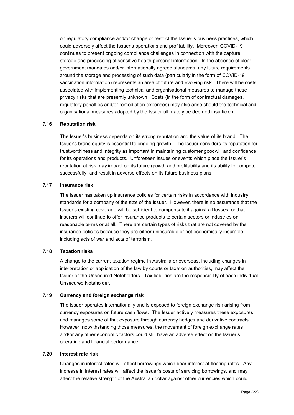on regulatory compliance and/or change or restrict the Issuer's business practices, which could adversely affect the Issuer's operations and profitability. Moreover, COVID-19 continues to present ongoing compliance challenges in connection with the capture, storage and processing of sensitive health personal information. In the absence of clear government mandates and/or internationally agreed standards, any future requirements around the storage and processing of such data (particularly in the form of COVID-19 vaccination information) represents an area of future and evolving risk. There will be costs associated with implementing technical and organisational measures to manage these privacy risks that are presently unknown. Costs (in the form of contractual damages, regulatory penalties and/or remediation expenses) may also arise should the technical and organisational measures adopted by the Issuer ultimately be deemed insufficient.

#### **7.16 Reputation risk**

The Issuer's business depends on its strong reputation and the value of its brand. The Issuer's brand equity is essential to ongoing growth. The Issuer considers its reputation for trustworthiness and integrity as important in maintaining customer goodwill and confidence for its operations and products. Unforeseen issues or events which place the Issuer's reputation at risk may impact on its future growth and profitability and its ability to compete successfully, and result in adverse effects on its future business plans.

#### **7.17 Insurance risk**

The Issuer has taken up insurance policies for certain risks in accordance with industry standards for a company of the size of the Issuer. However, there is no assurance that the Issuer's existing coverage will be sufficient to compensate it against all losses, or that insurers will continue to offer insurance products to certain sectors or industries on reasonable terms or at all. There are certain types of risks that are not covered by the insurance policies because they are either uninsurable or not economically insurable, including acts of war and acts of terrorism.

#### **7.18 Taxation risks**

A change to the current taxation regime in Australia or overseas, including changes in interpretation or application of the law by courts or taxation authorities, may affect the Issuer or the Unsecured Noteholders. Tax liabilities are the responsibility of each individual Unsecured Noteholder.

#### **7.19 Currency and foreign exchange risk**

The Issuer operates internationally and is exposed to foreign exchange risk arising from currency exposures on future cash flows. The Issuer actively measures these exposures and manages some of that exposure through currency hedges and derivative contracts. However, notwithstanding those measures, the movement of foreign exchange rates and/or any other economic factors could still have an adverse effect on the Issuer's operating and financial performance.

#### **7.20 Interest rate risk**

Changes in interest rates will affect borrowings which bear interest at floating rates. Any increase in interest rates will affect the Issuer's costs of servicing borrowings, and may affect the relative strength of the Australian dollar against other currencies which could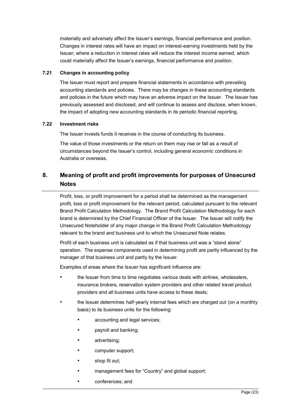materially and adversely affect the Issuer's earnings, financial performance and position. Changes in interest rates will have an impact on interest-earning investments held by the Issuer, where a reduction in interest rates will reduce the interest income earned, which could materially affect the Issuer's earnings, financial performance and position.

#### **7.21 Changes in accounting policy**

The Issuer must report and prepare financial statements in accordance with prevailing accounting standards and policies. There may be changes in these accounting standards and policies in the future which may have an adverse impact on the Issuer. The Issuer has previously assessed and disclosed, and will continue to assess and disclose, when known, the impact of adopting new accounting standards in its periodic financial reporting.

#### **7.22 Investment risks**

The Issuer invests funds it receives in the course of conducting its business.

The value of those investments or the return on them may rise or fall as a result of circumstances beyond the Issuer's control, including general economic conditions in Australia or overseas.

## **8. Meaning of profit and profit improvements for purposes of Unsecured Notes**

Profit, loss, or profit improvement for a period shall be determined as the management profit, loss or profit improvement for the relevant period, calculated pursuant to the relevant Brand Profit Calculation Methodology. The Brand Profit Calculation Methodology for each brand is determined by the Chief Financial Officer of the Issuer. The Issuer will notify the Unsecured Noteholder of any major change in the Brand Profit Calculation Methodology relevant to the brand and business unit to which the Unsecured Note relates.

Profit of each business unit is calculated as if that business unit was a "stand alone" operation. The expense components used in determining profit are partly influenced by the manager of that business unit and partly by the Issuer.

Examples of areas where the Issuer has significant influence are:

- the Issuer from time to time negotiates various deals with airlines, wholesalers, insurance brokers, reservation system providers and other related travel product providers and all business units have access to these deals;
- the Issuer determines half-yearly internal fees which are charged out (on a monthly basis) to its business units for the following:
	- accounting and legal services;
	- payroll and banking;
	- advertising;
	- computer support;
	- shop fit out:
	- management fees for "Country" and global support;
	- conferences; and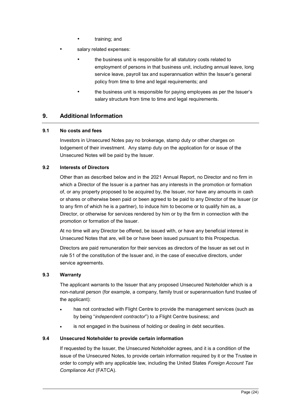- training; and
- salary related expenses:
	- the business unit is responsible for all statutory costs related to employment of persons in that business unit, including annual leave, long service leave, payroll tax and superannuation within the Issuer's general policy from time to time and legal requirements; and
	- the business unit is responsible for paying employees as per the Issuer's salary structure from time to time and legal requirements.

## **9. Additional Information**

#### **9.1 No costs and fees**

Investors in Unsecured Notes pay no brokerage, stamp duty or other charges on lodgement of their investment. Any stamp duty on the application for or issue of the Unsecured Notes will be paid by the Issuer.

#### **9.2 Interests of Directors**

Other than as described below and in the 2021 Annual Report, no Director and no firm in which a Director of the Issuer is a partner has any interests in the promotion or formation of, or any property proposed to be acquired by, the Issuer, nor have any amounts in cash or shares or otherwise been paid or been agreed to be paid to any Director of the Issuer (or to any firm of which he is a partner), to induce him to become or to qualify him as, a Director, or otherwise for services rendered by him or by the firm in connection with the promotion or formation of the Issuer.

At no time will any Director be offered, be issued with, or have any beneficial interest in Unsecured Notes that are, will be or have been issued pursuant to this Prospectus.

Directors are paid remuneration for their services as directors of the Issuer as set out in rule 51 of the constitution of the Issuer and, in the case of executive directors, under service agreements.

#### **9.3 Warranty**

The applicant warrants to the Issuer that any proposed Unsecured Noteholder which is a non-natural person (for example, a company, family trust or superannuation fund trustee of the applicant):

- has not contracted with Flight Centre to provide the management services (such as by being "*independent contractor*") to a Flight Centre business; and
- is not engaged in the business of holding or dealing in debt securities.

#### **9.4 Unsecured Noteholder to provide certain information**

If requested by the Issuer, the Unsecured Noteholder agrees, and it is a condition of the issue of the Unsecured Notes, to provide certain information required by it or the Trustee in order to comply with any applicable law, including the United States *Foreign Account Tax Compliance Act* (FATCA).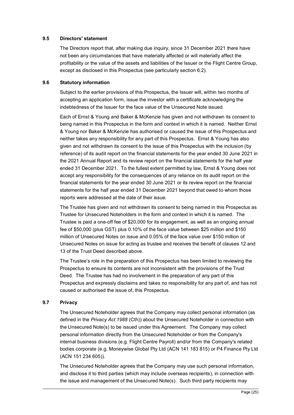#### **9.5 Directors' statement**

The Directors report that, after making due inquiry, since 31 December 2021 there have not been any circumstances that have materially affected or will materially affect the profitability or the value of the assets and liabilities of the Issuer or the Flight Centre Group, except as disclosed in this Prospectus (see particularly section 6.2).

#### **9.6 Statutory information**

Subject to the earlier provisions of this Prospectus, the Issuer will, within two months of accepting an application form, issue the investor with a certificate acknowledging the indebtedness of the Issuer for the face value of the Unsecured Note issued.

Each of Ernst & Young and Baker & McKenzie has given and not withdrawn its consent to being named in this Prospectus in the form and context in which it is named. Neither Ernst & Young nor Baker & McKenzie has authorised or caused the issue of this Prospectus and neither takes any responsibility for any part of this Prospectus. Ernst & Young has also given and not withdrawn its consent to the issue of this Prospectus with the inclusion (by reference) of its audit report on the financial statements for the year ended 30 June 2021 in the 2021 Annual Report and its review report on the financial statements for the half year ended 31 December 2021. To the fullest extent permitted by law, Ernst & Young does not accept any responsibility for the consequences of any reliance on its audit report on the financial statements for the year ended 30 June 2021 or its review report on the financial statements for the half year ended 31 December 2021 beyond that owed to whom those reports were addressed at the date of their issue.

The Trustee has given and not withdrawn its consent to being named in this Prospectus as Trustee for Unsecured Noteholders in the form and context in which it is named. The Trustee is paid a one-off fee of \$20,000 for its engagement, as well as an ongoing annual fee of \$50,000 (plus GST) plus 0.10% of the face value between \$25 million and \$150 million of Unsecured Notes on issue and 0.05% of the face value over \$150 million of Unsecured Notes on issue for acting as trustee and receives the benefit of clauses 12 and 13 of the Trust Deed described above.

The Trustee's role in the preparation of this Prospectus has been limited to reviewing the Prospectus to ensure its contents are not inconsistent with the provisions of the Trust Deed. The Trustee has had no involvement in the preparation of any part of this Prospectus and expressly disclaims and takes no responsibility for any part of, and has not caused or authorised the issue of, this Prospectus.

#### **9.7 Privacy**

The Unsecured Noteholder agrees that the Company may collect personal information (as defined in the *Privacy Act 1988* (Cth)) about the Unsecured Noteholder in connection with the Unsecured Note(s) to be issued under this Agreement. The Company may collect personal information directly from the Unsecured Noteholder or from the Company's internal business divisions (e.g. Flight Centre Payroll) and/or from the Company's related bodies corporate (e.g. Moneywise Global Pty Ltd (ACN 141 183 815) or P4 Finance Pty Ltd (ACN 151 234 605)).

The Unsecured Noteholder agrees that the Company may use such personal information, and disclose it to third parties (which may include overseas recipients), in connection with the issue and management of the Unsecured Note(s). Such third party recipients may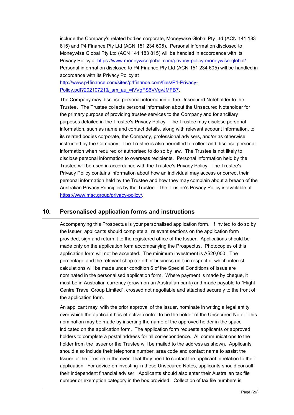include the Company's related bodies corporate, Moneywise Global Pty Ltd (ACN 141 183 815) and P4 Finance Pty Ltd (ACN 151 234 605). Personal information disclosed to Moneywise Global Pty Ltd (ACN 141 183 815) will be handled in accordance with its Privacy Policy at https://www.moneywiseglobal.com/privacy-policy-moneywise-global/. Personal information disclosed to P4 Finance Pty Ltd (ACN 151 234 605) will be handled in accordance with its Privacy Policy at

http://www.p4finance.com/sites/p4finance.com/files/P4-Privacy-Policy.pdf?20210721& sm\_au\_=iVVgFS6VVgvJMFB7.

The Company may disclose personal information of the Unsecured Noteholder to the Trustee. The Trustee collects personal information about the Unsecured Noteholder for the primary purpose of providing trustee services to the Company and for ancillary purposes detailed in the Trustee's Privacy Policy. The Trustee may disclose personal information, such as name and contact details, along with relevant account information, to its related bodies corporate, the Company, professional advisers, and/or as otherwise instructed by the Company. The Trustee is also permitted to collect and disclose personal information when required or authorised to do so by law. The Trustee is not likely to disclose personal information to overseas recipients. Personal information held by the Trustee will be used in accordance with the Trustee's Privacy Policy. The Trustee's Privacy Policy contains information about how an individual may access or correct their personal information held by the Trustee and how they may complain about a breach of the Australian Privacy Principles by the Trustee. The Trustee's Privacy Policy is available at https://www.msc.group/privacy-policy/.

## **10. Personalised application forms and instructions**

Accompanying this Prospectus is your personalised application form. If invited to do so by the Issuer, applicants should complete all relevant sections on the application form provided, sign and return it to the registered office of the Issuer. Applications should be made only on the application form accompanying the Prospectus. Photocopies of this application form will not be accepted. The minimum investment is A\$20,000. The percentage and the relevant shop (or other business unit) in respect of which interest calculations will be made under condition 6 of the Special Conditions of Issue are nominated in the personalised application form. Where payment is made by cheque, it must be in Australian currency (drawn on an Australian bank) and made payable to "Flight Centre Travel Group Limited", crossed not negotiable and attached securely to the front of the application form.

An applicant may, with the prior approval of the Issuer, nominate in writing a legal entity over which the applicant has effective control to be the holder of the Unsecured Note. This nomination may be made by inserting the name of the approved holder in the space indicated on the application form. The application form requests applicants or approved holders to complete a postal address for all correspondence. All communications to the holder from the Issuer or the Trustee will be mailed to the address as shown. Applicants should also include their telephone number, area code and contact name to assist the Issuer or the Trustee in the event that they need to contact the applicant in relation to their application. For advice on investing in these Unsecured Notes, applicants should consult their independent financial adviser. Applicants should also enter their Australian tax file number or exemption category in the box provided. Collection of tax file numbers is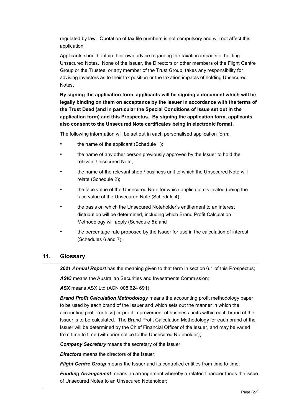regulated by law. Quotation of tax file numbers is not compulsory and will not affect this application.

Applicants should obtain their own advice regarding the taxation impacts of holding Unsecured Notes. None of the Issuer, the Directors or other members of the Flight Centre Group or the Trustee, or any member of the Trust Group, takes any responsibility for advising investors as to their tax position or the taxation impacts of holding Unsecured Notes.

**By signing the application form, applicants will be signing a document which will be legally binding on them on acceptance by the Issuer in accordance with the terms of the Trust Deed (and in particular the Special Conditions of Issue set out in the application form) and this Prospectus. By signing the application form, applicants also consent to the Unsecured Note certificates being in electronic format.**

The following information will be set out in each personalised application form:

- the name of the applicant (Schedule 1);
- the name of any other person previously approved by the Issuer to hold the relevant Unsecured Note;
- the name of the relevant shop / business unit to which the Unsecured Note will relate (Schedule 2);
- the face value of the Unsecured Note for which application is invited (being the face value of the Unsecured Note (Schedule 4);
- the basis on which the Unsecured Noteholder's entitlement to an interest distribution will be determined, including which Brand Profit Calculation Methodology will apply (Schedule 5); and
- the percentage rate proposed by the Issuer for use in the calculation of interest (Schedules 6 and 7).

#### **11. Glossary**

*2021 Annual Report* has the meaning given to that term in section 6.1 of this Prospectus;

**ASIC** means the Australian Securities and Investments Commission:

*ASX* means ASX Ltd (ACN 008 624 691);

*Brand Profit Calculation Methodology* means the accounting profit methodology paper to be used by each brand of the Issuer and which sets out the manner in which the accounting profit (or loss) or profit improvement of business units within each brand of the Issuer is to be calculated. The Brand Profit Calculation Methodology for each brand of the Issuer will be determined by the Chief Financial Officer of the Issuer, and may be varied from time to time (with prior notice to the Unsecured Noteholder);

*Company Secretary* means the secretary of the Issuer;

**Directors** means the directors of the Issuer:

*Flight Centre Group* means the Issuer and its controlled entities from time to time;

*Funding Arrangement* means an arrangement whereby a related financier funds the issue of Unsecured Notes to an Unsecured Noteholder;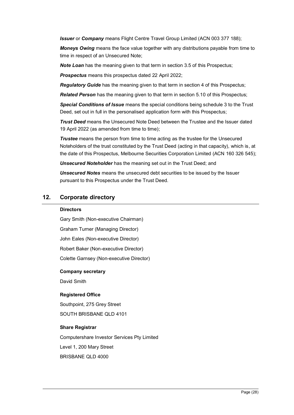*Issuer* or *Company* means Flight Centre Travel Group Limited (ACN 003 377 188);

**Moneys Owing** means the face value together with any distributions payable from time to time in respect of an Unsecured Note;

**Note Loan** has the meaning given to that term in section 3.5 of this Prospectus;

*Prospectus* means this prospectus dated 22 April 2022;

*Regulatory Guide* has the meaning given to that term in section 4 of this Prospectus;

*Related Person* has the meaning given to that term in section 5.10 of this Prospectus;

*Special Conditions of Issue* means the special conditions being schedule 3 to the Trust Deed, set out in full in the personalised application form with this Prospectus;

*Trust Deed* means the Unsecured Note Deed between the Trustee and the Issuer dated 19 April 2022 (as amended from time to time);

*Trustee* means the person from time to time acting as the trustee for the Unsecured Noteholders of the trust constituted by the Trust Deed (acting in that capacity), which is, at the date of this Prospectus, Melbourne Securities Corporation Limited (ACN 160 326 545);

*Unsecured Noteholder* has the meaning set out in the Trust Deed; and

*Unsecured Notes* means the unsecured debt securities to be issued by the Issuer pursuant to this Prospectus under the Trust Deed.

## **12. Corporate directory**

#### **Directors**

Gary Smith (Non-executive Chairman)

Graham Turner (Managing Director)

John Eales (Non-executive Director)

Robert Baker (Non-executive Director)

Colette Garnsey (Non-executive Director)

#### **Company secretary**

David Smith

#### **Registered Office**

Southpoint, 275 Grey Street SOUTH BRISBANE QLD 4101

#### **Share Registrar**

Computershare Investor Services Pty Limited

Level 1, 200 Mary Street

BRISBANE QLD 4000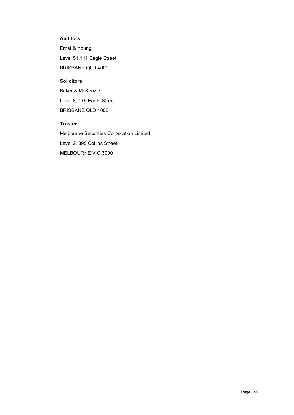#### **Auditors**

Ernst & Young Level 51,111 Eagle Street BRISBANE QLD 4000

#### **Solicitors**

Baker & McKenzie Level 8, 175 Eagle Street BRISBANE QLD 4000

## **Trustee**

Melbourne Securities Corporation Limited Level 2, 395 Collins Street MELBOURNE VIC 3000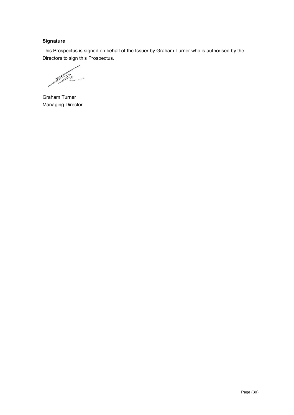## **Signature**

This Prospectus is signed on behalf of the Issuer by Graham Turner who is authorised by the Directors to sign this Prospectus.

M N  $\mathcal{L}_\text{max}$  , where  $\mathcal{L}_\text{max}$  and  $\mathcal{L}_\text{max}$  and  $\mathcal{L}_\text{max}$ 

Graham Turner Managing Director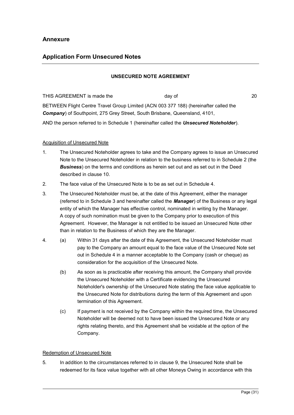## **Application Form Unsecured Notes**

#### **UNSECURED NOTE AGREEMENT**

THIS AGREEMENT is made the day of day of 20 BETWEEN Flight Centre Travel Group Limited (ACN 003 377 188) (hereinafter called the *Company*) of Southpoint, 275 Grey Street, South Brisbane, Queensland, 4101,

AND the person referred to in Schedule 1 (hereinafter called the *Unsecured Noteholder*).

#### Acquisition of Unsecured Note

- 1. The Unsecured Noteholder agrees to take and the Company agrees to issue an Unsecured Note to the Unsecured Noteholder in relation to the business referred to in Schedule 2 (the *Business*) on the terms and conditions as herein set out and as set out in the Deed described in clause 10.
- 2. The face value of the Unsecured Note is to be as set out in Schedule 4.
- 3. The Unsecured Noteholder must be, at the date of this Agreement, either the manager (referred to in Schedule 3 and hereinafter called the *Manager*) of the Business or any legal entity of which the Manager has effective control, nominated in writing by the Manager. A copy of such nomination must be given to the Company prior to execution of this Agreement. However, the Manager is not entitled to be issued an Unsecured Note other than in relation to the Business of which they are the Manager.
- 4. (a) Within 31 days after the date of this Agreement, the Unsecured Noteholder must pay to the Company an amount equal to the face value of the Unsecured Note set out in Schedule 4 in a manner acceptable to the Company (cash or cheque) as consideration for the acquisition of the Unsecured Note.
	- (b) As soon as is practicable after receiving this amount, the Company shall provide the Unsecured Noteholder with a Certificate evidencing the Unsecured Noteholder's ownership of the Unsecured Note stating the face value applicable to the Unsecured Note for distributions during the term of this Agreement and upon termination of this Agreement.
	- (c) If payment is not received by the Company within the required time, the Unsecured Noteholder will be deemed not to have been issued the Unsecured Note or any rights relating thereto, and this Agreement shall be voidable at the option of the Company.

#### Redemption of Unsecured Note

5. In addition to the circumstances referred to in clause 9, the Unsecured Note shall be redeemed for its face value together with all other Moneys Owing in accordance with this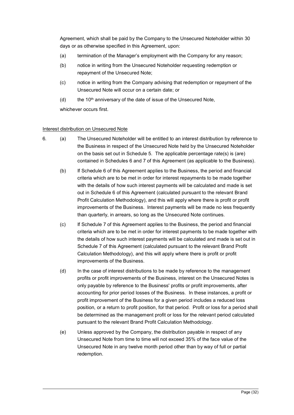Agreement, which shall be paid by the Company to the Unsecured Noteholder within 30 days or as otherwise specified in this Agreement, upon:

- (a) termination of the Manager's employment with the Company for any reason;
- (b) notice in writing from the Unsecured Noteholder requesting redemption or repayment of the Unsecured Note;
- (c) notice in writing from the Company advising that redemption or repayment of the Unsecured Note will occur on a certain date; or
- (d) the 10<sup>th</sup> anniversary of the date of issue of the Unsecured Note,

whichever occurs first.

#### Interest distribution on Unsecured Note

- 6. (a) The Unsecured Noteholder will be entitled to an interest distribution by reference to the Business in respect of the Unsecured Note held by the Unsecured Noteholder on the basis set out in Schedule 5. The applicable percentage rate(s) is (are) contained in Schedules 6 and 7 of this Agreement (as applicable to the Business).
	- (b) If Schedule 6 of this Agreement applies to the Business, the period and financial criteria which are to be met in order for interest repayments to be made together with the details of how such interest payments will be calculated and made is set out in Schedule 6 of this Agreement (calculated pursuant to the relevant Brand Profit Calculation Methodology), and this will apply where there is profit or profit improvements of the Business. Interest payments will be made no less frequently than quarterly, in arrears, so long as the Unsecured Note continues.
	- (c) If Schedule 7 of this Agreement applies to the Business, the period and financial criteria which are to be met in order for interest payments to be made together with the details of how such interest payments will be calculated and made is set out in Schedule 7 of this Agreement (calculated pursuant to the relevant Brand Profit Calculation Methodology), and this will apply where there is profit or profit improvements of the Business.
	- (d) In the case of interest distributions to be made by reference to the management profits or profit improvements of the Business, interest on the Unsecured Notes is only payable by reference to the Business' profits or profit improvements, after accounting for prior period losses of the Business. In these instances, a profit or profit improvement of the Business for a given period includes a reduced loss position, or a return to profit position, for that period. Profit or loss for a period shall be determined as the management profit or loss for the relevant period calculated pursuant to the relevant Brand Profit Calculation Methodology.
	- (e) Unless approved by the Company, the distribution payable in respect of any Unsecured Note from time to time will not exceed 35% of the face value of the Unsecured Note in any twelve month period other than by way of full or partial redemption.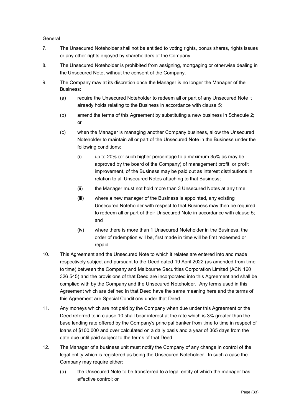#### General

- 7. The Unsecured Noteholder shall not be entitled to voting rights, bonus shares, rights issues or any other rights enjoyed by shareholders of the Company.
- 8. The Unsecured Noteholder is prohibited from assigning, mortgaging or otherwise dealing in the Unsecured Note, without the consent of the Company.
- 9. The Company may at its discretion once the Manager is no longer the Manager of the Business:
	- (a) require the Unsecured Noteholder to redeem all or part of any Unsecured Note it already holds relating to the Business in accordance with clause 5;
	- (b) amend the terms of this Agreement by substituting a new business in Schedule 2; or
	- (c) when the Manager is managing another Company business, allow the Unsecured Noteholder to maintain all or part of the Unsecured Note in the Business under the following conditions:
		- (i) up to 20% (or such higher percentage to a maximum 35% as may be approved by the board of the Company) of management profit, or profit improvement, of the Business may be paid out as interest distributions in relation to all Unsecured Notes attaching to that Business;
		- (ii) the Manager must not hold more than 3 Unsecured Notes at any time;
		- (iii) where a new manager of the Business is appointed, any existing Unsecured Noteholder with respect to that Business may then be required to redeem all or part of their Unsecured Note in accordance with clause 5; and
		- (iv) where there is more than 1 Unsecured Noteholder in the Business, the order of redemption will be, first made in time will be first redeemed or repaid.
- 10. This Agreement and the Unsecured Note to which it relates are entered into and made respectively subject and pursuant to the Deed dated 19 April 2022 (as amended from time to time) between the Company and Melbourne Securities Corporation Limited (ACN 160 326 545) and the provisions of that Deed are incorporated into this Agreement and shall be complied with by the Company and the Unsecured Noteholder. Any terms used in this Agreement which are defined in that Deed have the same meaning here and the terms of this Agreement are Special Conditions under that Deed.
- 11. Any moneys which are not paid by the Company when due under this Agreement or the Deed referred to in clause 10 shall bear interest at the rate which is 3% greater than the base lending rate offered by the Company's principal banker from time to time in respect of loans of \$100,000 and over calculated on a daily basis and a year of 365 days from the date due until paid subject to the terms of that Deed.
- 12. The Manager of a business unit must notify the Company of any change in control of the legal entity which is registered as being the Unsecured Noteholder. In such a case the Company may require either:
	- (a) the Unsecured Note to be transferred to a legal entity of which the manager has effective control; or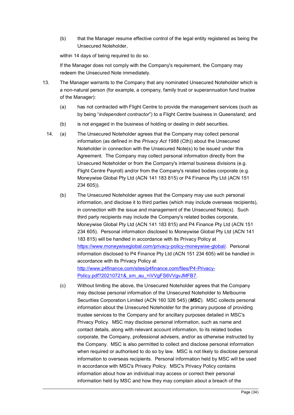(b) that the Manager resume effective control of the legal entity registered as being the Unsecured Noteholder,

within 14 days of being required to do so.

If the Manager does not comply with the Company's requirement, the Company may redeem the Unsecured Note immediately.

- 13. The Manager warrants to the Company that any nominated Unsecured Noteholder which is a non-natural person (for example, a company, family trust or superannuation fund trustee of the Manager):
	- (a) has not contracted with Flight Centre to provide the management services (such as by being "*independent contractor*") to a Flight Centre business in Queensland; and
	- (b) is not engaged in the business of holding or dealing in debt securities.
	- 14. (a) The Unsecured Noteholder agrees that the Company may collect personal information (as defined in the *Privacy Act 1988* (Cth)) about the Unsecured Noteholder in connection with the Unsecured Note(s) to be issued under this Agreement. The Company may collect personal information directly from the Unsecured Noteholder or from the Company's internal business divisions (e.g. Flight Centre Payroll) and/or from the Company's related bodies corporate (e.g. Moneywise Global Pty Ltd (ACN 141 183 815) or P4 Finance Pty Ltd (ACN 151 234 605)).
		- (b) The Unsecured Noteholder agrees that the Company may use such personal information, and disclose it to third parties (which may include overseas recipients), in connection with the issue and management of the Unsecured Note(s). Such third party recipients may include the Company's related bodies corporate, Moneywise Global Pty Ltd (ACN 141 183 815) and P4 Finance Pty Ltd (ACN 151 234 605). Personal information disclosed to Moneywise Global Pty Ltd (ACN 141 183 815) will be handled in accordance with its Privacy Policy at https://www.moneywiseglobal.com/privacy-policy-moneywise-global/. Personal information disclosed to P4 Finance Pty Ltd (ACN 151 234 605) will be handled in accordance with its Privacy Policy at http://www.p4finance.com/sites/p4finance.com/files/P4-Privacy-Policy.pdf?20210721& sm\_au\_=iVVgFS6VVgvJMFB7.
		- (c) Without limiting the above, the Unsecured Noteholder agrees that the Company may disclose personal information of the Unsecured Noteholder to Melbourne Securities Corporation Limited (ACN 160 326 545) (*MSC*). MSC collects personal information about the Unsecured Noteholder for the primary purpose of providing trustee services to the Company and for ancillary purposes detailed in MSC's Privacy Policy. MSC may disclose personal information, such as name and contact details, along with relevant account information, to its related bodies corporate, the Company, professional advisers, and/or as otherwise instructed by the Company. MSC is also permitted to collect and disclose personal information when required or authorised to do so by law. MSC is not likely to disclose personal information to overseas recipients. Personal information held by MSC will be used in accordance with MSC's Privacy Policy. MSC's Privacy Policy contains information about how an individual may access or correct their personal information held by MSC and how they may complain about a breach of the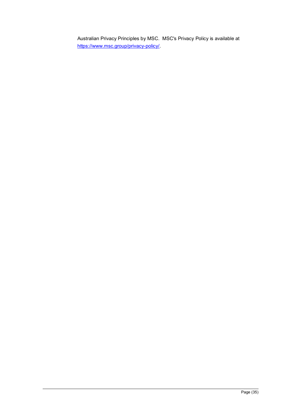Australian Privacy Principles by MSC. MSC's Privacy Policy is available at https://www.msc.group/privacy-policy/.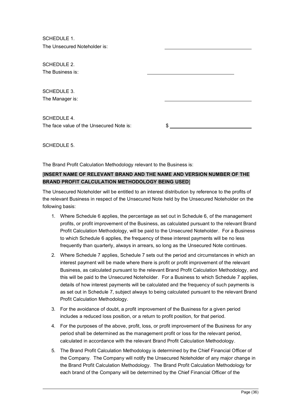SCHEDULE 1. The Unsecured Noteholder is:

SCHEDULE 2 The Business is: SCHEDULE 3. The Manager is: SCHEDULE 4 The face value of the Unsecured Note is:  $\$\$$ 

SCHEDULE 5.

The Brand Profit Calculation Methodology relevant to the Business is:

## [**INSERT NAME OF RELEVANT BRAND AND THE NAME AND VERSION NUMBER OF THE BRAND PROFIT CALCULATION METHODOLOGY BEING USED**]

The Unsecured Noteholder will be entitled to an interest distribution by reference to the profits of the relevant Business in respect of the Unsecured Note held by the Unsecured Noteholder on the following basis:

- 1. Where Schedule 6 applies, the percentage as set out in Schedule 6, of the management profits, or profit improvement of the Business, as calculated pursuant to the relevant Brand Profit Calculation Methodology, will be paid to the Unsecured Noteholder. For a Business to which Schedule 6 applies, the frequency of these interest payments will be no less frequently than quarterly, always in arrears, so long as the Unsecured Note continues.
- 2. Where Schedule 7 applies, Schedule 7 sets out the period and circumstances in which an interest payment will be made where there is profit or profit improvement of the relevant Business, as calculated pursuant to the relevant Brand Profit Calculation Methodology, and this will be paid to the Unsecured Noteholder. For a Business to which Schedule 7 applies, details of how interest payments will be calculated and the frequency of such payments is as set out in Schedule 7, subject always to being calculated pursuant to the relevant Brand Profit Calculation Methodology.
- 3. For the avoidance of doubt, a profit improvement of the Business for a given period includes a reduced loss position, or a return to profit position, for that period.
- 4. For the purposes of the above, profit, loss, or profit improvement of the Business for any period shall be determined as the management profit or loss for the relevant period, calculated in accordance with the relevant Brand Profit Calculation Methodology.
- 5. The Brand Profit Calculation Methodology is determined by the Chief Financial Officer of the Company. The Company will notify the Unsecured Noteholder of any major change in the Brand Profit Calculation Methodology. The Brand Profit Calculation Methodology for each brand of the Company will be determined by the Chief Financial Officer of the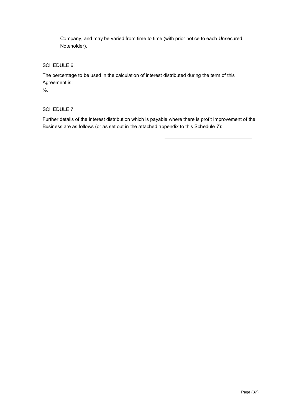Company, and may be varied from time to time (with prior notice to each Unsecured Noteholder).

## SCHEDULE 6.

The percentage to be used in the calculation of interest distributed during the term of this Agreement is:

%.

#### SCHEDULE 7.

Further details of the interest distribution which is payable where there is profit improvement of the Business are as follows (or as set out in the attached appendix to this Schedule 7):